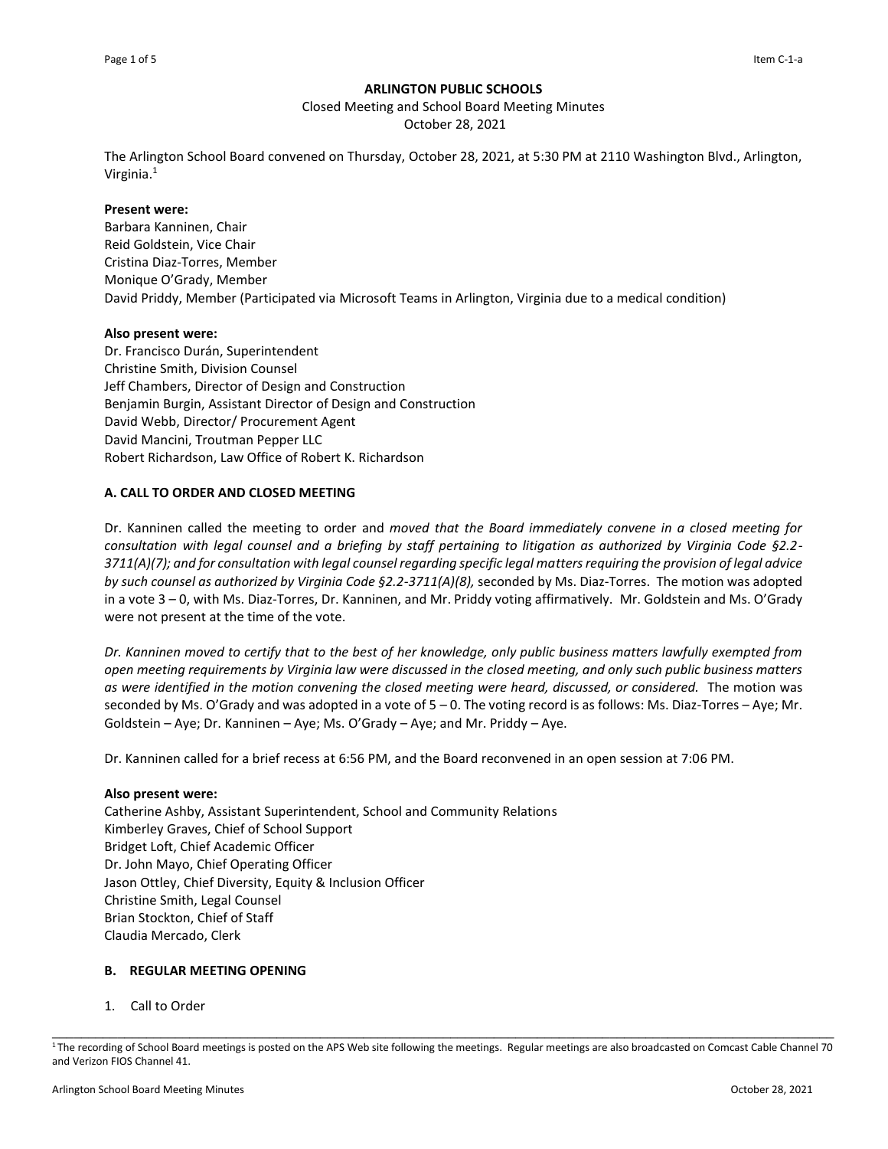### **ARLINGTON PUBLIC SCHOOLS**

Closed Meeting and School Board Meeting Minutes

October 28, 2021

The Arlington School Board convened on Thursday, October 28, 2021, at 5:30 PM at 2110 Washington Blvd., Arlington, Virginia.<sup>1</sup>

### **Present were:**

Barbara Kanninen, Chair Reid Goldstein, Vice Chair Cristina Diaz-Torres, Member Monique O'Grady, Member David Priddy, Member (Participated via Microsoft Teams in Arlington, Virginia due to a medical condition)

### **Also present were:**

Dr. Francisco Durán, Superintendent Christine Smith, Division Counsel Jeff Chambers, Director of Design and Construction Benjamin Burgin, Assistant Director of Design and Construction David Webb, Director/ Procurement Agent David Mancini, Troutman Pepper LLC Robert Richardson, Law Office of Robert K. Richardson

# **A. CALL TO ORDER AND CLOSED MEETING**

Dr. Kanninen called the meeting to order and *moved that the Board immediately convene in a closed meeting for consultation with legal counsel and a briefing by staff pertaining to litigation as authorized by Virginia Code §2.2- 3711(A)(7); and for consultation with legal counsel regarding specific legal matters requiring the provision of legal advice by such counsel as authorized by Virginia Code §2.2-3711(A)(8),* seconded by Ms. Diaz-Torres. The motion was adopted in a vote 3 – 0, with Ms. Diaz-Torres, Dr. Kanninen, and Mr. Priddy voting affirmatively. Mr. Goldstein and Ms. O'Grady were not present at the time of the vote.

*Dr. Kanninen moved to certify that to the best of her knowledge, only public business matters lawfully exempted from open meeting requirements by Virginia law were discussed in the closed meeting, and only such public business matters as were identified in the motion convening the closed meeting were heard, discussed, or considered.* The motion was seconded by Ms. O'Grady and was adopted in a vote of 5 – 0. The voting record is as follows: Ms. Diaz-Torres – Aye; Mr. Goldstein – Aye; Dr. Kanninen – Aye; Ms. O'Grady – Aye; and Mr. Priddy – Aye.

Dr. Kanninen called for a brief recess at 6:56 PM, and the Board reconvened in an open session at 7:06 PM.

# **Also present were:**

Catherine Ashby, Assistant Superintendent, School and Community Relations Kimberley Graves, Chief of School Support Bridget Loft, Chief Academic Officer Dr. John Mayo, Chief Operating Officer Jason Ottley, Chief Diversity, Equity & Inclusion Officer Christine Smith, Legal Counsel Brian Stockton, Chief of Staff Claudia Mercado, Clerk

# **B. REGULAR MEETING OPENING**

1. Call to Order

\_\_\_\_\_\_\_\_\_\_\_\_\_\_\_\_\_\_\_\_\_\_\_\_\_\_\_\_\_\_\_\_\_\_\_\_\_\_\_\_\_\_\_\_\_\_\_\_\_\_\_\_\_\_\_\_\_\_\_\_\_\_\_\_\_\_\_\_\_\_\_\_\_\_\_\_\_\_\_\_\_\_\_\_\_\_\_\_\_\_\_\_\_\_\_\_\_\_\_\_\_\_\_\_\_\_\_\_ <sup>1</sup>The recording of School Board meetings is posted on the APS Web site following the meetings. Regular meetings are also broadcasted on Comcast Cable Channel 70 and Verizon FIOS Channel 41.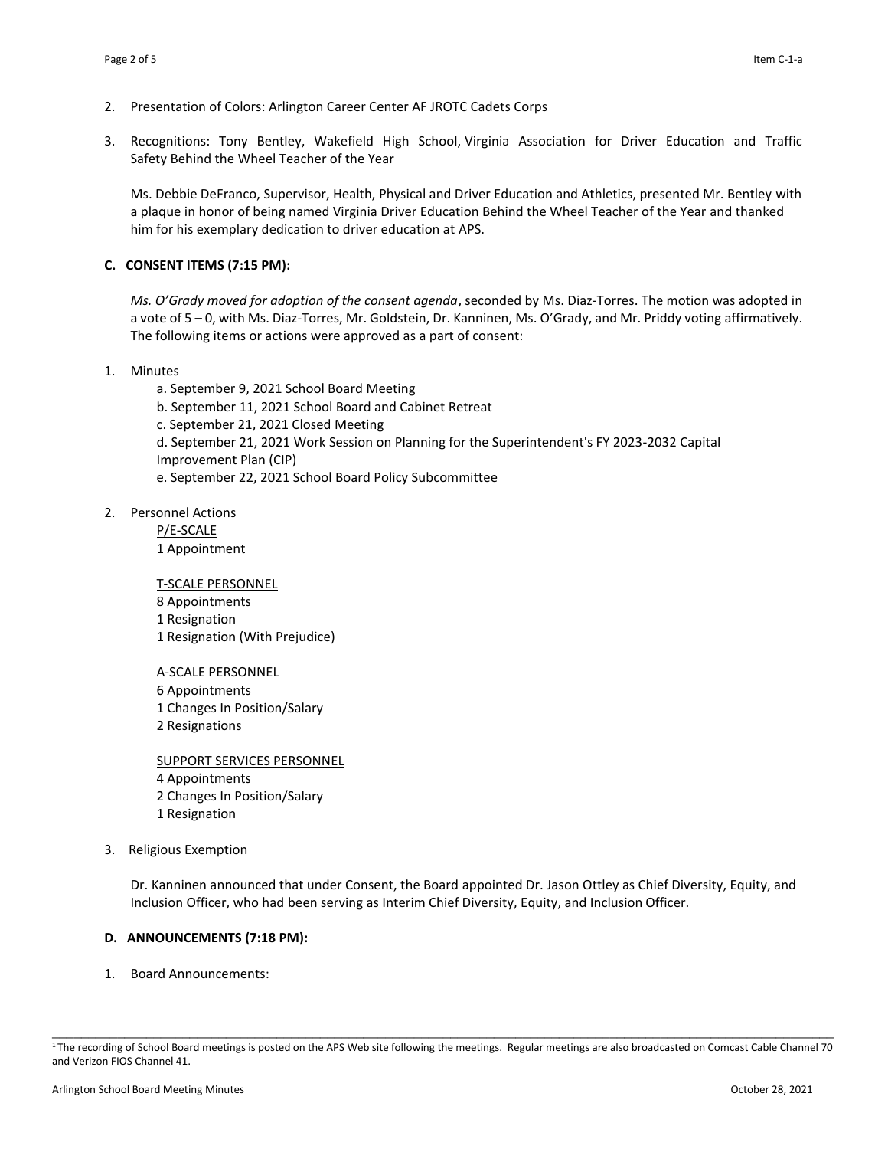- 2. Presentation of Colors: Arlington Career Center AF JROTC Cadets Corps
- 3. Recognitions: Tony Bentley, Wakefield High School, Virginia Association for Driver Education and Traffic Safety Behind the Wheel Teacher of the Year

Ms. Debbie DeFranco, Supervisor, Health, Physical and Driver Education and Athletics, presented Mr. Bentley with a plaque in honor of being named Virginia Driver Education Behind the Wheel Teacher of the Year and thanked him for his exemplary dedication to driver education at APS.

### **C. CONSENT ITEMS (7:15 PM):**

*Ms. O'Grady moved for adoption of the consent agenda*, seconded by Ms. Diaz-Torres. The motion was adopted in a vote of 5 – 0, with Ms. Diaz-Torres, Mr. Goldstein, Dr. Kanninen, Ms. O'Grady, and Mr. Priddy voting affirmatively. The following items or actions were approved as a part of consent:

### 1. Minutes

a. September 9, 2021 School Board Meeting b. September 11, 2021 School Board and Cabinet Retreat c. September 21, 2021 Closed Meeting d. September 21, 2021 Work Session on Planning for the Superintendent's FY 2023-2032 Capital Improvement Plan (CIP) e. September 22, 2021 School Board Policy Subcommittee

2. Personnel Actions

P/E-SCALE 1 Appointment

T-SCALE PERSONNEL 8 Appointments 1 Resignation 1 Resignation (With Prejudice)

A-SCALE PERSONNEL Appointments Changes In Position/Salary Resignations

SUPPORT SERVICES PERSONNEL Appointments Changes In Position/Salary Resignation

3. Religious Exemption

Dr. Kanninen announced that under Consent, the Board appointed Dr. Jason Ottley as Chief Diversity, Equity, and Inclusion Officer, who had been serving as Interim Chief Diversity, Equity, and Inclusion Officer.

### **D. ANNOUNCEMENTS (7:18 PM):**

1. Board Announcements:

\_\_\_\_\_\_\_\_\_\_\_\_\_\_\_\_\_\_\_\_\_\_\_\_\_\_\_\_\_\_\_\_\_\_\_\_\_\_\_\_\_\_\_\_\_\_\_\_\_\_\_\_\_\_\_\_\_\_\_\_\_\_\_\_\_\_\_\_\_\_\_\_\_\_\_\_\_\_\_\_\_\_\_\_\_\_\_\_\_\_\_\_\_\_\_\_\_\_\_\_\_\_\_\_\_\_\_\_ <sup>1</sup>The recording of School Board meetings is posted on the APS Web site following the meetings. Regular meetings are also broadcasted on Comcast Cable Channel 70 and Verizon FIOS Channel 41.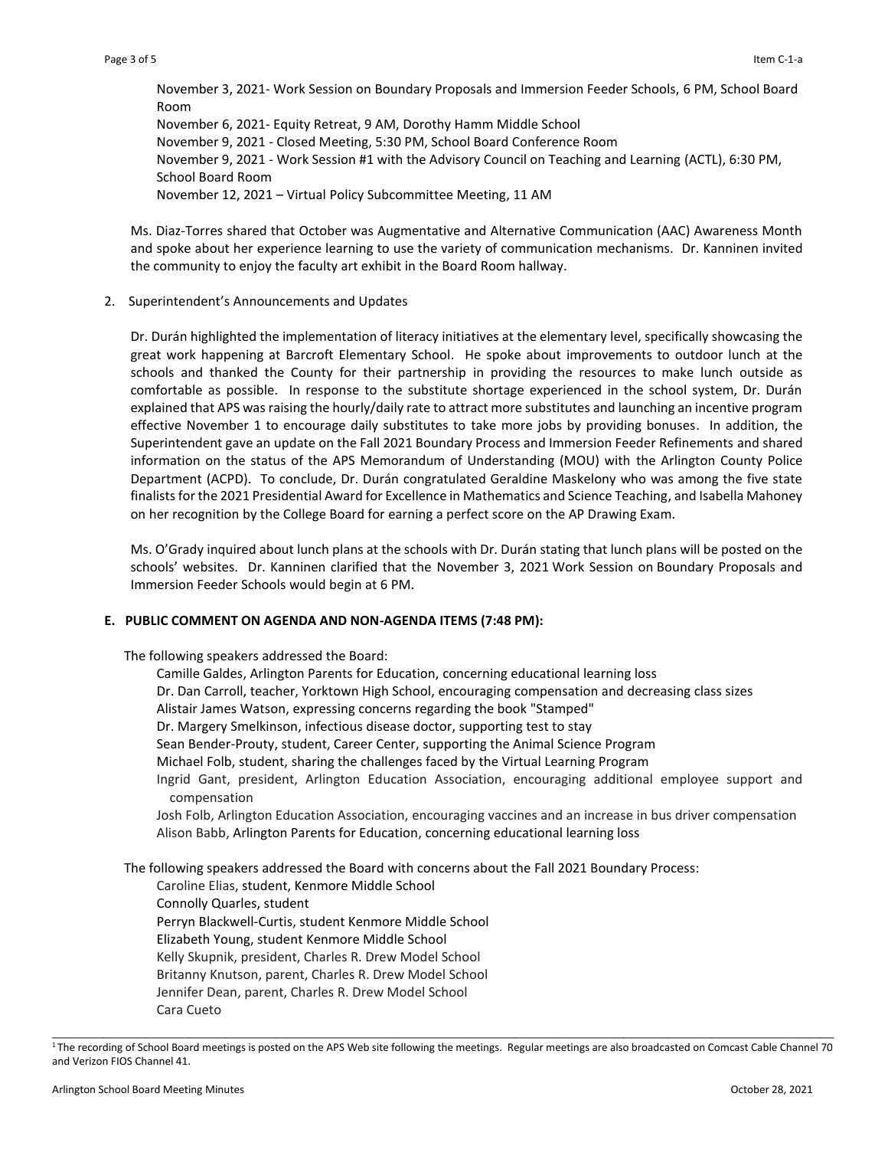November 3, 2021- Work Session on Boundary Proposals and Immersion Feeder Schools, 6 PM, School Board Room November 6, 2021- Equity Retreat, 9 AM, Dorothy Hamm Middle School November 9, 2021 - Closed Meeting, 5:30 PM, School Board Conference Room November 9, 2021 - Work Session #1 with the Advisory Council on Teaching and Learning (ACTL), 6:30 PM, School Board Room November 12, 2021 – Virtual Policy Subcommittee Meeting, 11 AM

Ms. Diaz-Torres shared that October was Augmentative and Alternative Communication (AAC) Awareness Month and spoke about her experience learning to use the variety of communication mechanisms. Dr. Kanninen invited the community to enjoy the faculty art exhibit in the Board Room hallway.

2. Superintendent's Announcements and Updates

Dr. Durán highlighted the implementation of literacy initiatives at the elementary level, specifically showcasing the great work happening at Barcroft Elementary School. He spoke about improvements to outdoor lunch at the schools and thanked the County for their partnership in providing the resources to make lunch outside as comfortable as possible. In response to the substitute shortage experienced in the school system, Dr. Durán explained that APS was raising the hourly/daily rate to attract more substitutes and launching an incentive program effective November 1 to encourage daily substitutes to take more jobs by providing bonuses. In addition, the Superintendent gave an update on the Fall 2021 Boundary Process and Immersion Feeder Refinements and shared information on the status of the APS Memorandum of Understanding (MOU) with the Arlington County Police Department (ACPD). To conclude, Dr. Durán congratulated Geraldine Maskelony who was among the five state finalists for the 2021 Presidential Award for Excellence in Mathematics and Science Teaching, and Isabella Mahoney on her recognition by the College Board for earning a perfect score on the AP Drawing Exam.

Ms. O'Grady inquired about lunch plans at the schools with Dr. Durán stating that lunch plans will be posted on the schools' websites. Dr. Kanninen clarified that the November 3, 2021 Work Session on Boundary Proposals and Immersion Feeder Schools would begin at 6 PM.

# **E. PUBLIC COMMENT ON AGENDA AND NON-AGENDA ITEMS (7:48 PM):**

The following speakers addressed the Board:

Camille Galdes, Arlington Parents for Education, concerning educational learning loss Dr. Dan Carroll, teacher, Yorktown High School, encouraging compensation and decreasing class sizes Alistair James Watson, expressing concerns regarding the book "Stamped" Dr. Margery Smelkinson, infectious disease doctor, supporting test to stay Sean Bender-Prouty, student, Career Center, supporting the Animal Science Program Michael Folb, student, sharing the challenges faced by the Virtual Learning Program Ingrid Gant, president, Arlington Education Association, encouraging additional employee support and compensation Josh Folb, Arlington Education Association, encouraging vaccines and an increase in bus driver compensation Alison Babb, Arlington Parents for Education, concerning educational learning loss

The following speakers addressed the Board with concerns about the Fall 2021 Boundary Process:

Caroline Elias, student, Kenmore Middle School Connolly Quarles, student Perryn Blackwell-Curtis, student Kenmore Middle School Elizabeth Young, student Kenmore Middle School Kelly Skupnik, president, Charles R. Drew Model School Britanny Knutson, parent, Charles R. Drew Model School Jennifer Dean, parent, Charles R. Drew Model School Cara Cueto

\_\_\_\_\_\_\_\_\_\_\_\_\_\_\_\_\_\_\_\_\_\_\_\_\_\_\_\_\_\_\_\_\_\_\_\_\_\_\_\_\_\_\_\_\_\_\_\_\_\_\_\_\_\_\_\_\_\_\_\_\_\_\_\_\_\_\_\_\_\_\_\_\_\_\_\_\_\_\_\_\_\_\_\_\_\_\_\_\_\_\_\_\_\_\_\_\_\_\_\_\_\_\_\_\_\_\_\_ <sup>1</sup>The recording of School Board meetings is posted on the APS Web site following the meetings. Regular meetings are also broadcasted on Comcast Cable Channel 70 and Verizon FIOS Channel 41.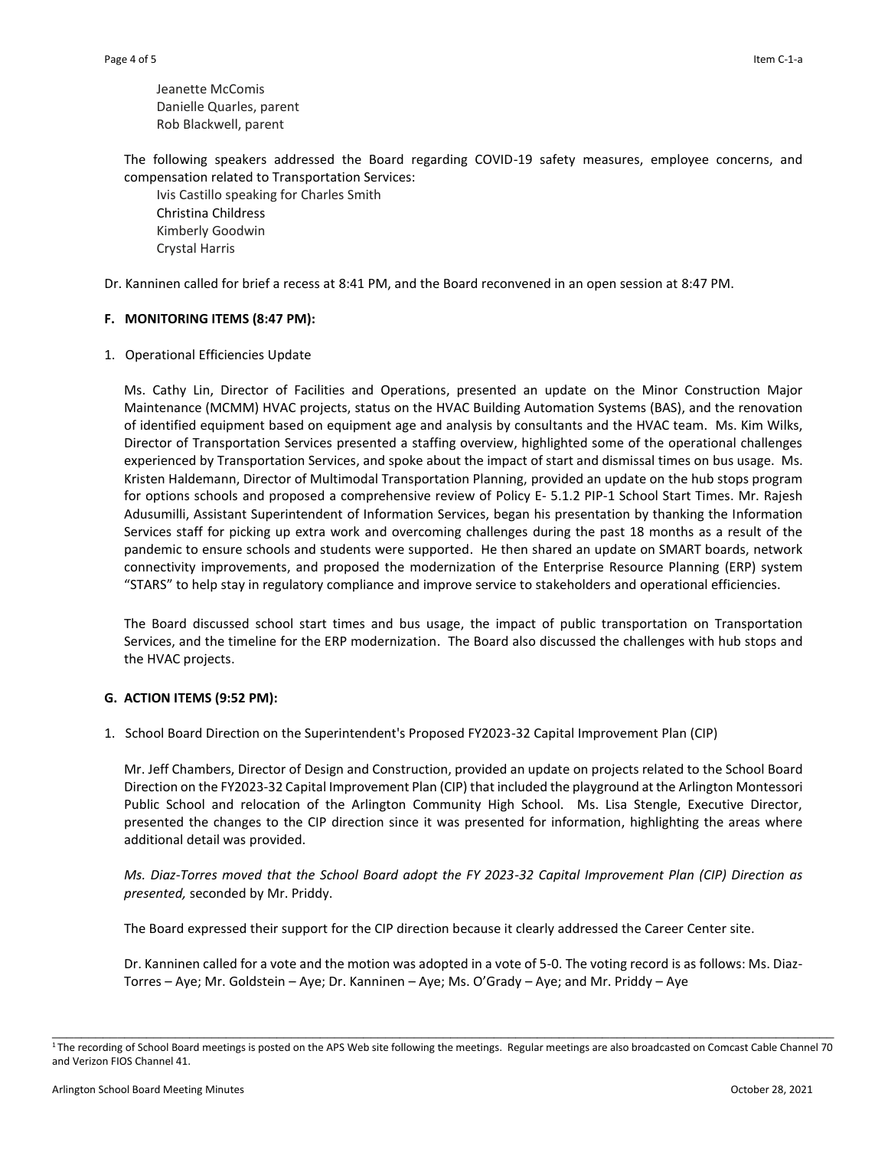Jeanette McComis Danielle Quarles, parent Rob Blackwell, parent

The following speakers addressed the Board regarding COVID-19 safety measures, employee concerns, and compensation related to Transportation Services:

Ivis Castillo speaking for Charles Smith Christina Childress Kimberly Goodwin Crystal Harris

Dr. Kanninen called for brief a recess at 8:41 PM, and the Board reconvened in an open session at 8:47 PM.

# **F. MONITORING ITEMS (8:47 PM):**

1. Operational Efficiencies Update

Ms. Cathy Lin, Director of Facilities and Operations, presented an update on the Minor Construction Major Maintenance (MCMM) HVAC projects, status on the HVAC Building Automation Systems (BAS), and the renovation of identified equipment based on equipment age and analysis by consultants and the HVAC team. Ms. Kim Wilks, Director of Transportation Services presented a staffing overview, highlighted some of the operational challenges experienced by Transportation Services, and spoke about the impact of start and dismissal times on bus usage. Ms. Kristen Haldemann, Director of Multimodal Transportation Planning, provided an update on the hub stops program for options schools and proposed a comprehensive review of Policy E- 5.1.2 PIP-1 School Start Times. Mr. Rajesh Adusumilli, Assistant Superintendent of Information Services, began his presentation by thanking the Information Services staff for picking up extra work and overcoming challenges during the past 18 months as a result of the pandemic to ensure schools and students were supported. He then shared an update on SMART boards, network connectivity improvements, and proposed the modernization of the Enterprise Resource Planning (ERP) system "STARS" to help stay in regulatory compliance and improve service to stakeholders and operational efficiencies.

The Board discussed school start times and bus usage, the impact of public transportation on Transportation Services, and the timeline for the ERP modernization. The Board also discussed the challenges with hub stops and the HVAC projects.

# **G. ACTION ITEMS (9:52 PM):**

1. School Board Direction on the Superintendent's Proposed FY2023-32 Capital Improvement Plan (CIP)

Mr. Jeff Chambers, Director of Design and Construction, provided an update on projects related to the School Board Direction on the FY2023-32 Capital Improvement Plan (CIP) that included the playground at the Arlington Montessori Public School and relocation of the Arlington Community High School. Ms. Lisa Stengle, Executive Director, presented the changes to the CIP direction since it was presented for information, highlighting the areas where additional detail was provided.

*Ms. Diaz-Torres moved that the School Board adopt the FY 2023-32 Capital Improvement Plan (CIP) Direction as presented,* seconded by Mr. Priddy.

The Board expressed their support for the CIP direction because it clearly addressed the Career Center site.

Dr. Kanninen called for a vote and the motion was adopted in a vote of 5-0. The voting record is as follows: Ms. Diaz-Torres – Aye; Mr. Goldstein – Aye; Dr. Kanninen – Aye; Ms. O'Grady – Aye; and Mr. Priddy – Aye

\_\_\_\_\_\_\_\_\_\_\_\_\_\_\_\_\_\_\_\_\_\_\_\_\_\_\_\_\_\_\_\_\_\_\_\_\_\_\_\_\_\_\_\_\_\_\_\_\_\_\_\_\_\_\_\_\_\_\_\_\_\_\_\_\_\_\_\_\_\_\_\_\_\_\_\_\_\_\_\_\_\_\_\_\_\_\_\_\_\_\_\_\_\_\_\_\_\_\_\_\_\_\_\_\_\_\_\_ <sup>1</sup>The recording of School Board meetings is posted on the APS Web site following the meetings. Regular meetings are also broadcasted on Comcast Cable Channel 70 and Verizon FIOS Channel 41.